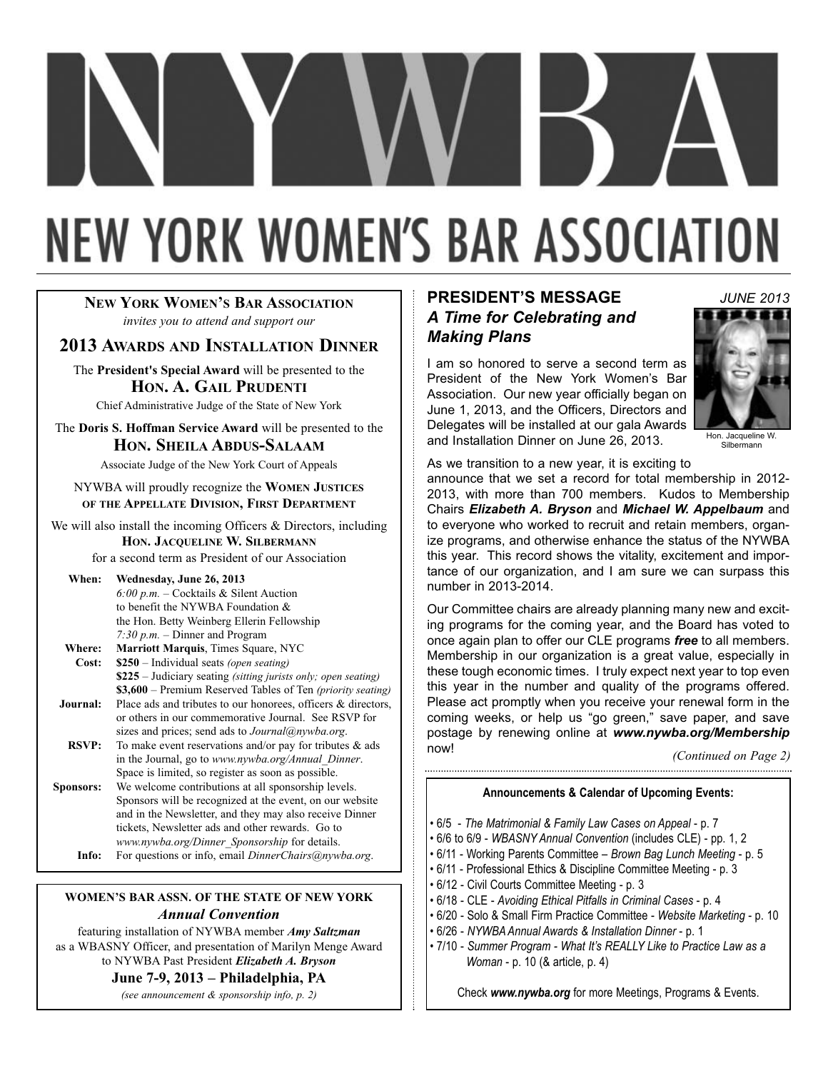# **NEW YORK WOMEN'S BAR ASSOCIATION**

### **NEW YORK WOMEN'S BAR ASSOCIATION** *invites you to attend and support our*

### **2013 AWARDS AND INSTALLATION DINNER**

The **President's Special Award** will be presented to the **HON. A. GAIL PRUDENTI**

Chief Administrative Judge of the State of New York

The **Doris S. Hoffman Service Award** will be presented to the **HON. SHEILA ABDUS-SALAAM**

Associate Judge of the New York Court of Appeals

NYWBA will proudly recognize the **WOMEN JUSTICES OF THE APPELLATE DIVISION, FIRST DEPARTMENT**

We will also install the incoming Officers & Directors, including **HON. JACQUELINE W. SILBERMANN**

for a second term as President of our Association

### **When: Wednesday, June 26, 2013**

*6:00 p.m.* – Cocktails & Silent Auction to benefit the NYWBA Foundation & the Hon. Betty Weinberg Ellerin Fellowship *7:30 p.m.* – Dinner and Program **Where: Marriott Marquis**, Times Square, NYC

- **Cost: \$250** Individual seats *(open seating)* **\$225** – Judiciary seating *(sitting jurists only; open seating)* **\$3,600** – Premium Reserved Tables of Ten *(priority seating)* **Journal:** Place ads and tributes to our honorees, officers & directors,
- or others in our commemorative Journal. See RSVP for sizes and prices; send ads to *Journal@nywba.org*.
- **RSVP:** To make event reservations and/or pay for tributes & ads in the Journal, go to *www.nywba.org/Annual\_Dinner*. Space is limited, so register as soon as possible.
- **Sponsors:** We welcome contributions at all sponsorship levels. Sponsors will be recognized at the event, on our website and in the Newsletter, and they may also receive Dinner tickets, Newsletter ads and other rewards. Go to *www.nywba.org/Dinner\_Sponsorship* for details. **Info:** For questions or info, email *DinnerChairs@nywba.org*.

### **WOMEN'S BAR ASSN. OF THE STATE OF NEW YORK** *Annual Convention*

featuring installation of NYWBA member *Amy Saltzman*  as a WBASNY Officer, and presentation of Marilyn Menge Award to NYWBA Past President *Elizabeth A. Bryson* 

### **June 7-9, 2013 – Philadelphia, PA**

*(see announcement & sponsorship info, p. 2)*

### **PRESIDENT'S MESSAGE** *A Time for Celebrating and Making Plans*

I am so honored to serve a second term as President of the New York Women's Bar Association. Our new year officially began on June 1, 2013, and the Officers, Directors and Delegates will be installed at our gala Awards and Installation Dinner on June 26, 2013.



Hon. Jacqueline W. Silbermann

As we transition to a new year, it is exciting to

announce that we set a record for total membership in 2012- 2013, with more than 700 members. Kudos to Membership Chairs *Elizabeth A. Bryson* and *Michael W. Appelbaum* and to everyone who worked to recruit and retain members, organize programs, and otherwise enhance the status of the NYWBA this year. This record shows the vitality, excitement and importance of our organization, and I am sure we can surpass this number in 2013-2014.

Our Committee chairs are already planning many new and exciting programs for the coming year, and the Board has voted to once again plan to offer our CLE programs *free* to all members. Membership in our organization is a great value, especially in these tough economic times. I truly expect next year to top even this year in the number and quality of the programs offered. Please act promptly when you receive your renewal form in the coming weeks, or help us "go green," save paper, and save postage by renewing online at *www.nywba.org/Membership* now!

*(Continued on Page 2)* 

### **Announcements & Calendar of Upcoming Events:**

- 6/5 *The Matrimonial & Family Law Cases on Appeal* p. 7
- 6/6 to 6/9 *WBASNY Annual Convention* (includes CLE) pp. 1, 2
- 6/11 Working Parents Committee *Brown Bag Lunch Meeting* p. 5
- 6/11 Professional Ethics & Discipline Committee Meeting p. 3
- 6/12 Civil Courts Committee Meeting p. 3
- 6/18 CLE *Avoiding Ethical Pitfalls in Criminal Cases* p. 4
- 6/20 Solo & Small Firm Practice Committee *Website Marketing*  p. 10
- 6/26 *NYWBA Annual Awards & Installation Dinner* p. 1
- 7/10 *Summer Program What It's REALLY Like to Practice Law as a Woman* - p. 10 (& article, p. 4)

Check *www.nywba.org* for more Meetings, Programs & Events.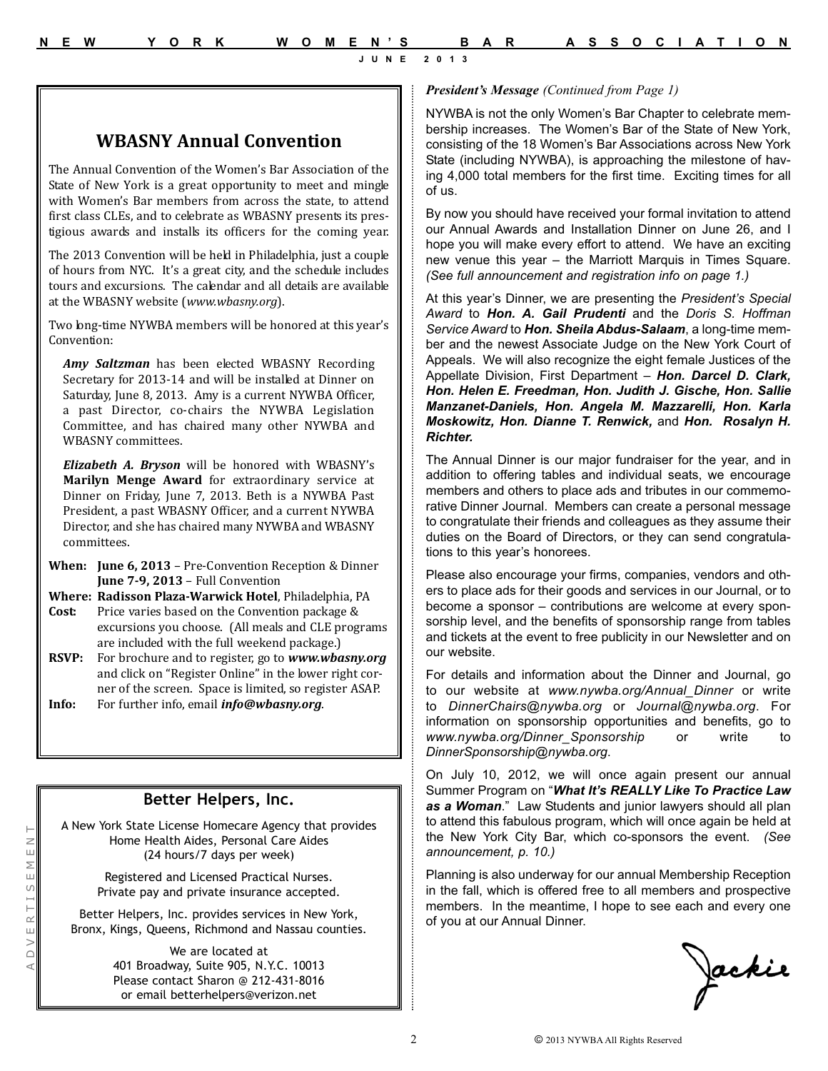### **WBASNY Annual Convention**

The Annual Convention of the Women's Bar Association of the State of New York is a great opportunity to meet and mingle with Women's Bar members from across the state, to attend first class CLEs, and to celebrate as WBASNY presents its prestigious awards and installs its officers for the coming year.

The 2013 Convention will be held in Philadelphia, just a couple of hours from NYC. It's a great city, and the schedule includes tours and excursions. The calendar and all details are available at the WBASNY website (*www.wbasny.org*).

Two long-time NYWBA members will be honored at this year's Convention:

*Amy Saltzman* has been elected WBASNY Recording Secretary for 2013-14 and will be installed at Dinner on Saturday, June 8, 2013. Amy is a current NYWBA Officer, a past Director, co-chairs the NYWBA Legislation Committee, and has chaired many other NYWBA and WBASNY committees.

*Elizabeth A. Bryson* will be honored with WBASNY's **Marilyn Menge Award** for extraordinary service at Dinner on Friday, June 7, 2013. Beth is a NYWBA Past President, a past WBASNY Officer, and a current NYWBA Director, and she has chaired many NYWBA and WBASNY committees.

- **When: June 6, 2013** Pre-Convention Reception & Dinner **June 7-9, 2013** – Full Convention
- **Where: Radisson Plaza-Warwick Hotel**, Philadelphia, PA
- **Cost:** Price varies based on the Convention package & excursions you choose. (All meals and CLE programs are included with the full weekend package.)
- **RSVP:** For brochure and to register, go to *www.wbasny.org* and click on "Register Online" in the lower right corner of the screen. Space is limited, so register ASAP.

**Info:** For further info, email *info@wbasny.org*.

## **Better Helpers, Inc.**

A New York State License Homecare Agency that provides Home Health Aides, Personal Care Aides (24 hours/7 days per week)

> Registered and Licensed Practical Nurses. Private pay and private insurance accepted.

Better Helpers, Inc. provides services in New York, Bronx, Kings, Queens, Richmond and Nassau counties.

> We are located at 401 Broadway, Suite 905, N.Y.C. 10013 Please contact Sharon @ 212-431-8016 or email betterhelpers@verizon.net

### *President's Message (Continued from Page 1)*

NYWBA is not the only Women's Bar Chapter to celebrate membership increases. The Women's Bar of the State of New York, consisting of the 18 Women's Bar Associations across New York State (including NYWBA), is approaching the milestone of having 4,000 total members for the first time. Exciting times for all of us.

By now you should have received your formal invitation to attend our Annual Awards and Installation Dinner on June 26, and I hope you will make every effort to attend. We have an exciting new venue this year – the Marriott Marquis in Times Square. *(See full announcement and registration info on page 1.)*

At this year's Dinner, we are presenting the *President's Special Award* to *Hon. A. Gail Prudenti* and the *Doris S. Hoffman Service Award* to *Hon. Sheila Abdus-Salaam*, a long-time member and the newest Associate Judge on the New York Court of Appeals. We will also recognize the eight female Justices of the Appellate Division, First Department – *Hon. Darcel D. Clark, Hon. Helen E. Freedman, Hon. Judith J. Gische, Hon. Sallie Manzanet-Daniels, Hon. Angela M. Mazzarelli, Hon. Karla Moskowitz, Hon. Dianne T. Renwick,* and *Hon. Rosalyn H. Richter.*

The Annual Dinner is our major fundraiser for the year, and in addition to offering tables and individual seats, we encourage members and others to place ads and tributes in our commemorative Dinner Journal. Members can create a personal message to congratulate their friends and colleagues as they assume their duties on the Board of Directors, or they can send congratulations to this year's honorees.

Please also encourage your firms, companies, vendors and others to place ads for their goods and services in our Journal, or to become a sponsor – contributions are welcome at every sponsorship level, and the benefits of sponsorship range from tables and tickets at the event to free publicity in our Newsletter and on our website.

For details and information about the Dinner and Journal, go to our website at *www.nywba.org/Annual\_Dinner* or write to *DinnerChairs@nywba.org* or *Journal@nywba.org*. For information on sponsorship opportunities and benefits, go to *www.nywba.org/Dinner\_Sponsorship* or write to *DinnerSponsorship@nywba.org*.

On July 10, 2012, we will once again present our annual Summer Program on "*What It's REALLY Like To Practice Law as a Woman*." Law Students and junior lawyers should all plan to attend this fabulous program, which will once again be held at the New York City Bar, which co-sponsors the event. *(See announcement, p. 10.)*

Planning is also underway for our annual Membership Reception in the fall, which is offered free to all members and prospective members. In the meantime, I hope to see each and every one of you at our Annual Dinner.

Jackie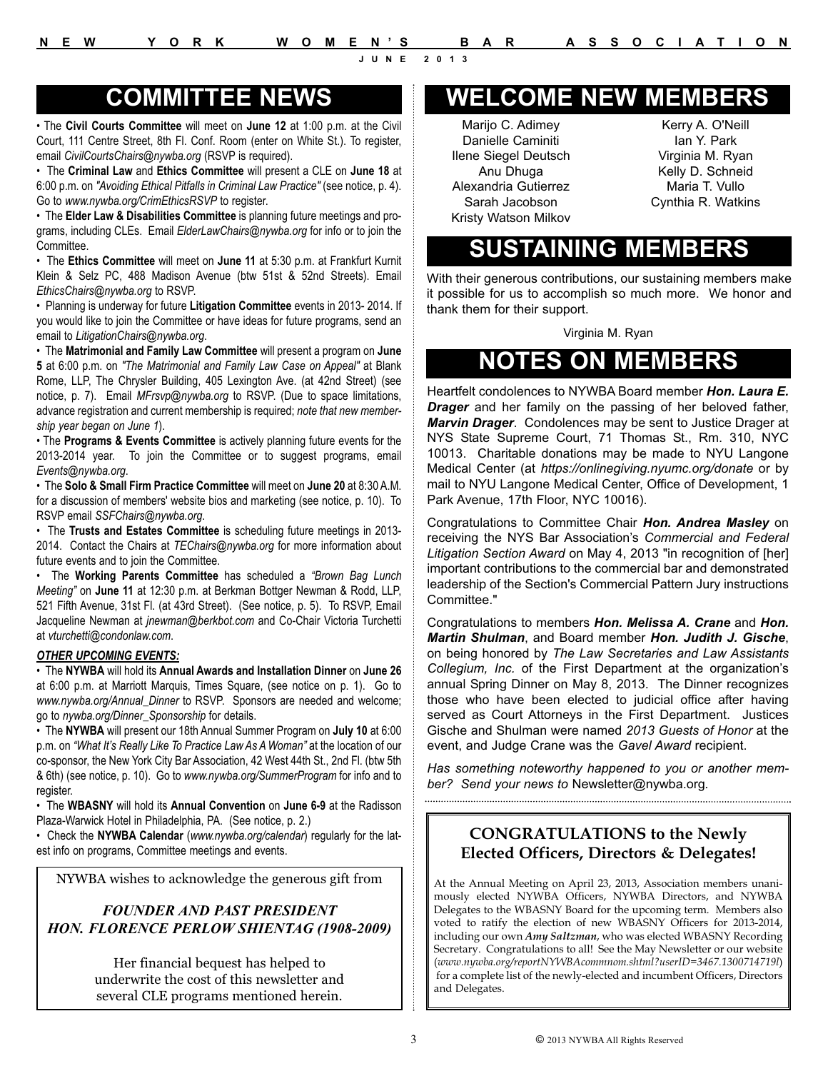• The **Civil Courts Committee** will meet on **June 12** at 1:00 p.m. at the Civil Court, 111 Centre Street, 8th Fl. Conf. Room (enter on White St.). To register, email *CivilCourtsChairs@nywba.org* (RSVP is required).

• The **Criminal Law** and **Ethics Committee** will present a CLE on **June 18** at 6:00 p.m. on *"Avoiding Ethical Pitfalls in Criminal Law Practice"* (see notice, p. 4). Go to *www.nywba.org/CrimEthicsRSVP* to register.

• The **Elder Law & Disabilities Committee** is planning future meetings and programs, including CLEs. Email *ElderLawChairs@nywba.org* for info or to join the Committee.

• The **Ethics Committee** will meet on **June 11** at 5:30 p.m. at Frankfurt Kurnit Klein & Selz PC, 488 Madison Avenue (btw 51st & 52nd Streets). Email *EthicsChairs@nywba.org* to RSVP.

• Planning is underway for future **Litigation Committee** events in 2013- 2014. If you would like to join the Committee or have ideas for future programs, send an email to *LitigationChairs@nywba.org*.

• The **Matrimonial and Family Law Committee** will present a program on **June 5** at 6:00 p.m. on *"The Matrimonial and Family Law Case on Appeal"* at Blank Rome, LLP, The Chrysler Building, 405 Lexington Ave. (at 42nd Street) (see notice, p. 7). Email *MFrsvp@nywba.org* to RSVP. (Due to space limitations, advance registration and current membership is required; *note that new membership year began on June 1*).

• The **Programs & Events Committee** is actively planning future events for the 2013-2014 year. To join the Committee or to suggest programs, email *Events@nywba.org*.

• The **Solo & Small Firm Practice Committee** will meet on **June 20** at 8:30 A.M. for a discussion of members' website bios and marketing (see notice, p. 10). To RSVP email *SSFChairs@nywba.org*.

• The **Trusts and Estates Committee** is scheduling future meetings in 2013- 2014. Contact the Chairs at *TEChairs@nywba.org* for more information about future events and to join the Committee.

• The **Working Parents Committee** has scheduled a *"Brown Bag Lunch Meeting"* on **June 11** at 12:30 p.m. at Berkman Bottger Newman & Rodd, LLP, 521 Fifth Avenue, 31st Fl. (at 43rd Street). (See notice, p. 5). To RSVP, Email Jacqueline Newman at *jnewman@berkbot.com* and Co-Chair Victoria Turchetti at *vturchetti@condonlaw.com*.

### *OTHER UPCOMING EVENTS:*

• The **NYWBA** will hold its **Annual Awards and Installation Dinner** on **June 26** at 6:00 p.m. at Marriott Marquis, Times Square, (see notice on p. 1). Go to *www.nywba.org/Annual\_Dinner* to RSVP. Sponsors are needed and welcome; go to *nywba.org/Dinner\_Sponsorship* for details.

• The **NYWBA** will present our 18th Annual Summer Program on **July 10** at 6:00 p.m. on *"What It's Really Like To Practice Law As A Woman"* at the location of our co-sponsor, the New York City Bar Association, 42 West 44th St., 2nd Fl. (btw 5th & 6th) (see notice, p. 10). Go to *www.nywba.org/SummerProgram* for info and to register.

• The **WBASNY** will hold its **Annual Convention** on **June 6-9** at the Radisson Plaza-Warwick Hotel in Philadelphia, PA. (See notice, p. 2.)

• Check the **NYWBA Calendar** (*www.nywba.org/calendar*) regularly for the latest info on programs, Committee meetings and events.

NYWBA wishes to acknowledge the generous gift from

### *FOUNDER AND PAST PRESIDENT HON. FLORENCE PERLOW SHIENTAG (1908-2009)*

Her financial bequest has helped to underwrite the cost of this newsletter and several CLE programs mentioned herein.

# **COMMITTEE NEWS WELCOME NEW MEMBERS**

Marijo C. Adimey Danielle Caminiti Ilene Siegel Deutsch Anu Dhuga Alexandria Gutierrez Sarah Jacobson Kristy Watson Milkov

Kerry A. O'Neill Ian Y. Park Virginia M. Ryan Kelly D. Schneid Maria T. Vullo Cynthia R. Watkins

# **SUSTAINING MEMBERS**

With their generous contributions, our sustaining members make it possible for us to accomplish so much more. We honor and thank them for their support.

Virginia M. Ryan

# **NOTES ON MEMBERS**

Heartfelt condolences to NYWBA Board member *Hon. Laura E. Drager* and her family on the passing of her beloved father, *Marvin Drager*. Condolences may be sent to Justice Drager at NYS State Supreme Court, 71 Thomas St., Rm. 310, NYC 10013. Charitable donations may be made to NYU Langone Medical Center (at *https://onlinegiving.nyumc.org/donate* or by mail to NYU Langone Medical Center, Office of Development, 1 Park Avenue, 17th Floor, NYC 10016).

Congratulations to Committee Chair *Hon. Andrea Masley* on receiving the NYS Bar Association's *Commercial and Federal Litigation Section Award* on May 4, 2013 "in recognition of [her] important contributions to the commercial bar and demonstrated leadership of the Section's Commercial Pattern Jury instructions Committee."

Congratulations to members *Hon. Melissa A. Crane* and *Hon. Martin Shulman*, and Board member *Hon. Judith J. Gische*, on being honored by *The Law Secretaries and Law Assistants Collegium, Inc.* of the First Department at the organization's annual Spring Dinner on May 8, 2013. The Dinner recognizes those who have been elected to judicial office after having served as Court Attorneys in the First Department. Justices Gische and Shulman were named *2013 Guests of Honor* at the event, and Judge Crane was the *Gavel Award* recipient.

*Has something noteworthy happened to you or another member? Send your news to* Newsletter@nywba.org*.* 

### **CONGRATULATIONS to the Newly Elected Officers, Directors & Delegates!**

At the Annual Meeting on April 23, 2013, Association members unanimously elected NYWBA Officers, NYWBA Directors, and NYWBA Delegates to the WBASNY Board for the upcoming term. Members also voted to ratify the election of new WBASNY Officers for 2013-2014, including our own *Amy Saltzman*, who was elected WBASNY Recording Secretary. Congratulations to all! See the May Newsletter or our website (*www.nywba.org/reportNYWBAcommnom.shtml?userID=3467.1300714719l*) for a complete list of the newly-elected and incumbent Officers, Directors and Delegates.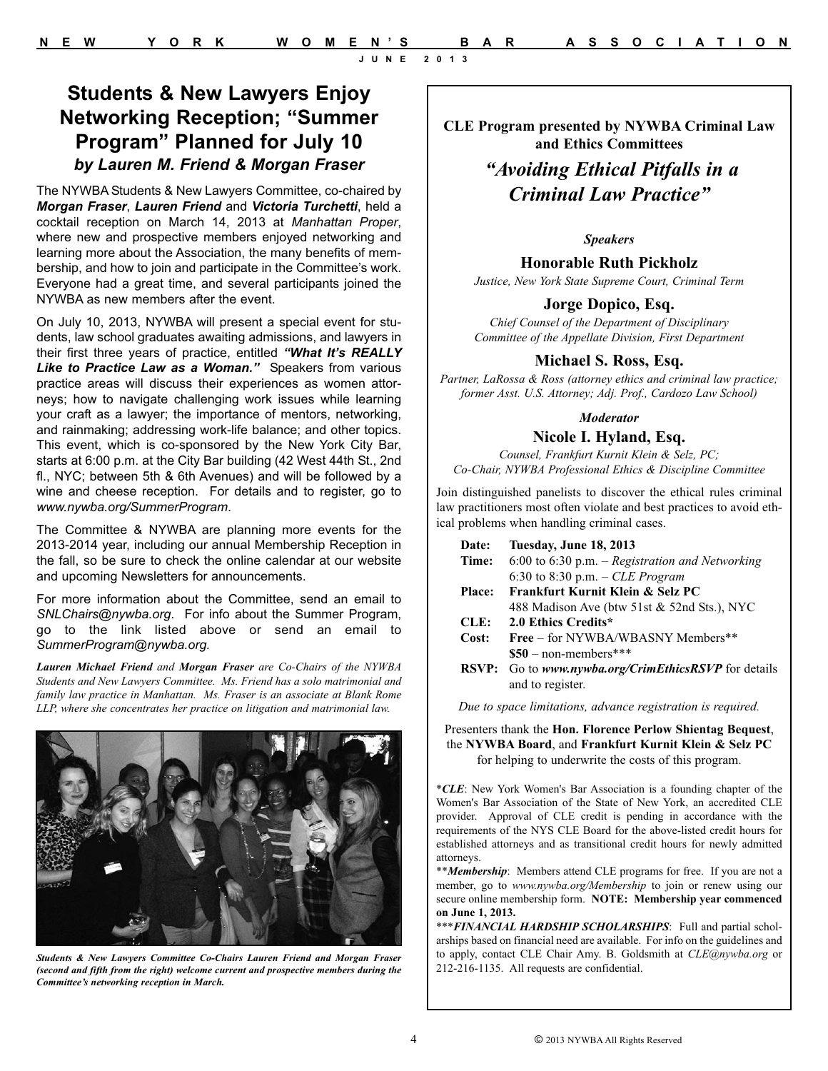The NYWBA Students & New Lawyers Committee, co-chaired by *Morgan Fraser*, *Lauren Friend* and *Victoria Turchetti*, held a cocktail reception on March 14, 2013 at *Manhattan Proper*, where new and prospective members enjoyed networking and learning more about the Association, the many benefits of membership, and how to join and participate in the Committee's work. Everyone had a great time, and several participants joined the NYWBA as new members after the event.

On July 10, 2013, NYWBA will present a special event for students, law school graduates awaiting admissions, and lawyers in their first three years of practice, entitled *"What It's REALLY* **Like to Practice Law as a Woman."** Speakers from various practice areas will discuss their experiences as women attorneys; how to navigate challenging work issues while learning your craft as a lawyer; the importance of mentors, networking, and rainmaking; addressing work-life balance; and other topics. This event, which is co-sponsored by the New York City Bar, starts at 6:00 p.m. at the City Bar building (42 West 44th St., 2nd fl., NYC; between 5th & 6th Avenues) and will be followed by a wine and cheese reception. For details and to register, go to *www.nywba.org/SummerProgram*.

The Committee & NYWBA are planning more events for the 2013-2014 year, including our annual Membership Reception in the fall, so be sure to check the online calendar at our website and upcoming Newsletters for announcements.

For more information about the Committee, send an email to *SNLChairs@nywba.org*. For info about the Summer Program, go to the link listed above or send an email to *SummerProgram@nywba.org.*

*Lauren Michael Friend and Morgan Fraser are Co-Chairs of the NYWBA Students and New Lawyers Committee. Ms. Friend has a solo matrimonial and family law practice in Manhattan. Ms. Fraser is an associate at Blank Rome LLP, where she concentrates her practice on litigation and matrimonial law.*



*Students & New Lawyers Committee Co-Chairs Lauren Friend and Morgan Fraser (second and fifth from the right) welcome current and prospective members during the Committee's networking reception in March.*

**CLE Program presented by NYWBA Criminal Law and Ethics Committees**

### *"Avoiding Ethical Pitfalls in a Criminal Law Practice"*

### *Speakers*

**Honorable Ruth Pickholz** 

*Justice, New York State Supreme Court, Criminal Term* 

### **Jorge Dopico, Esq.**

*Chief Counsel of the Department of Disciplinary Committee of the Appellate Division, First Department*

### **Michael S. Ross, Esq.**

*Partner, LaRossa & Ross (attorney ethics and criminal law practice; former Asst. U.S. Attorney; Adj. Prof., Cardozo Law School)*

### *Moderator*

### **Nicole I. Hyland, Esq.**

*Counsel, Frankfurt Kurnit Klein & Selz, PC; Co-Chair, NYWBA Professional Ethics & Discipline Committee*

Join distinguished panelists to discover the ethical rules criminal law practitioners most often violate and best practices to avoid ethical problems when handling criminal cases.

| Date:         | Tuesday, June 18, 2013                               |
|---------------|------------------------------------------------------|
| Time:         | 6:00 to 6:30 p.m. – Registration and Networking      |
|               | 6:30 to 8:30 p.m. $-$ CLE Program                    |
| <b>Place:</b> | Frankfurt Kurnit Klein & Selz PC                     |
|               | 488 Madison Ave (btw 51st & 52nd Sts.), NYC          |
| CLE:          | 2.0 Ethics Credits*                                  |
| Cost:         | Free – for NYWBA/WBASNY Members**                    |
|               | $\$50$ – non-members***                              |
|               | RSVP: Go to www.nywba.org/CrimEthicsRSVP for details |
|               | and to register.                                     |

*Due to space limitations, advance registration is required.*

Presenters thank the **Hon. Florence Perlow Shientag Bequest**, the **NYWBA Board**, and **Frankfurt Kurnit Klein & Selz PC**  for helping to underwrite the costs of this program.

\**CLE*: New York Women's Bar Association is a founding chapter of the Women's Bar Association of the State of New York, an accredited CLE provider. Approval of CLE credit is pending in accordance with the requirements of the NYS CLE Board for the above-listed credit hours for established attorneys and as transitional credit hours for newly admitted attorneys.

\*\**Membership*: Members attend CLE programs for free. If you are not a member, go to *www.nywba.org/Membership* to join or renew using our secure online membership form. **NOTE: Membership year commenced on June 1, 2013.**

\*\*\**FINANCIAL HARDSHIP SCHOLARSHIPS*: Full and partial scholarships based on financial need are available. For info on the guidelines and to apply, contact CLE Chair Amy. B. Goldsmith at *CLE@nywba.org* or 212-216-1135. All requests are confidential.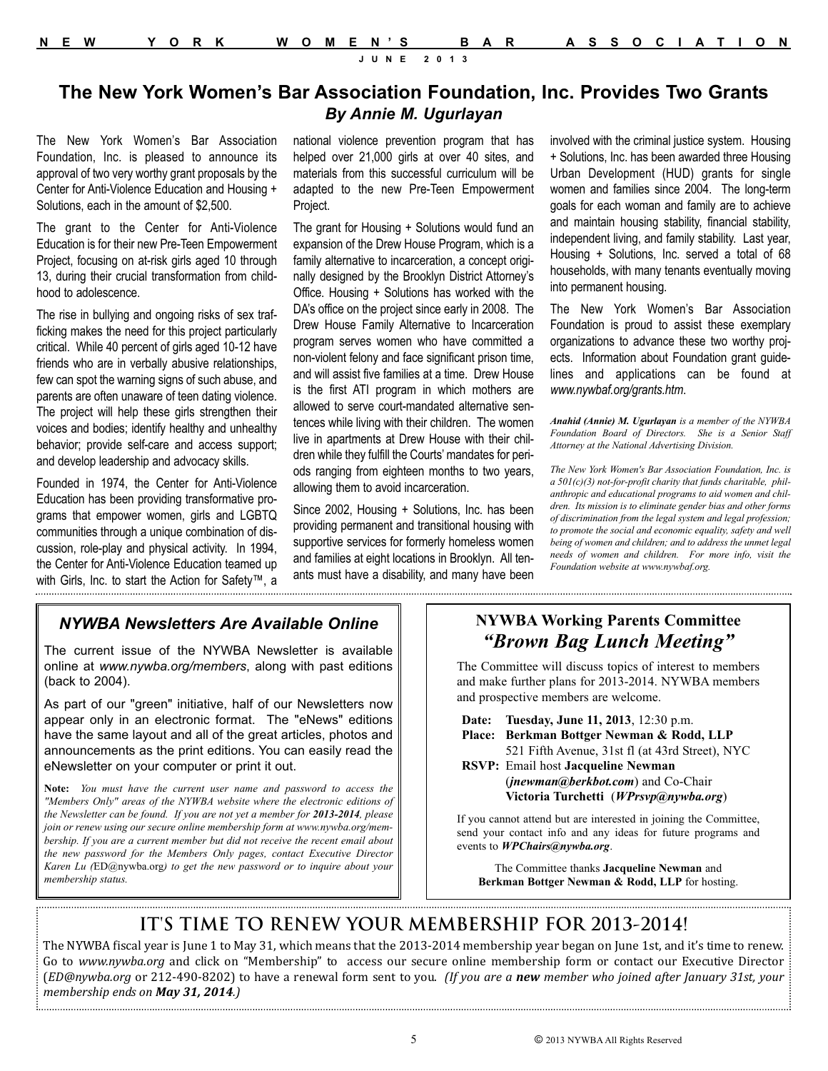### **The New York Women's Bar Association Foundation, Inc. Provides Two Grants** *By Annie M. Ugurlayan*

The New York Women's Bar Association Foundation, Inc. is pleased to announce its approval of two very worthy grant proposals by the Center for Anti-Violence Education and Housing + Solutions, each in the amount of \$2,500.

The grant to the Center for Anti-Violence Education is for their new Pre-Teen Empowerment Project, focusing on at-risk girls aged 10 through 13, during their crucial transformation from childhood to adolescence.

The rise in bullying and ongoing risks of sex trafficking makes the need for this project particularly critical. While 40 percent of girls aged 10-12 have friends who are in verbally abusive relationships, few can spot the warning signs of such abuse, and parents are often unaware of teen dating violence. The project will help these girls strengthen their voices and bodies; identify healthy and unhealthy behavior; provide self-care and access support; and develop leadership and advocacy skills.

Founded in 1974, the Center for Anti-Violence Education has been providing transformative programs that empower women, girls and LGBTQ communities through a unique combination of discussion, role-play and physical activity. In 1994, the Center for Anti-Violence Education teamed up with Girls, Inc. to start the Action for Safety™, a national violence prevention program that has helped over 21,000 girls at over 40 sites, and materials from this successful curriculum will be adapted to the new Pre-Teen Empowerment Project.

The grant for Housing + Solutions would fund an expansion of the Drew House Program, which is a family alternative to incarceration, a concept originally designed by the Brooklyn District Attorney's Office. Housing + Solutions has worked with the DA's office on the project since early in 2008. The Drew House Family Alternative to Incarceration program serves women who have committed a non-violent felony and face significant prison time, and will assist five families at a time. Drew House is the first ATI program in which mothers are allowed to serve court-mandated alternative sentences while living with their children. The women live in apartments at Drew House with their children while they fulfill the Courts' mandates for periods ranging from eighteen months to two years, allowing them to avoid incarceration.

Since 2002, Housing + Solutions, Inc. has been providing permanent and transitional housing with supportive services for formerly homeless women and families at eight locations in Brooklyn. All tenants must have a disability, and many have been involved with the criminal justice system. Housing + Solutions, Inc. has been awarded three Housing Urban Development (HUD) grants for single women and families since 2004. The long-term goals for each woman and family are to achieve and maintain housing stability, financial stability, independent living, and family stability. Last year, Housing + Solutions, Inc. served a total of 68 households, with many tenants eventually moving into permanent housing.

The New York Women's Bar Association Foundation is proud to assist these exemplary organizations to advance these two worthy projects. Information about Foundation grant guidelines and applications can be found at *www.nywbaf.org/grants.htm*.

*Anahid (Annie) M. Ugurlayan is a member of the NYWBA Foundation Board of Directors. She is a Senior Staff Attorney at the National Advertising Division.* 

*The New York Women's Bar Association Foundation, Inc. is a 501(c)(3) not-for-profit charity that funds charitable, philanthropic and educational programs to aid women and children. Its mission is to eliminate gender bias and other forms of discrimination from the legal system and legal profession; to promote the social and economic equality, safety and well being of women and children; and to address the unmet legal needs of women and children. For more info, visit the Foundation website at www.nywbaf.org.*

### *NYWBA Newsletters Are Available Online*

The current issue of the NYWBA Newsletter is available online at *www.nywba.org/members*, along with past editions (back to 2004).

As part of our "green" initiative, half of our Newsletters now appear only in an electronic format. The "eNews" editions have the same layout and all of the great articles, photos and announcements as the print editions. You can easily read the eNewsletter on your computer or print it out.

**Note:** *You must have the current user name and password to access the "Members Only" areas of the NYWBA website where the electronic editions of the Newsletter can be found. If you are not yet a member for 2013-2014, please join or renew using our secure online membership form at www.nywba.org/membership. If you are a current member but did not receive the recent email about the new password for the Members Only pages, contact Executive Director Karen Lu (*ED@nywba.org*) to get the new password or to inquire about your membership status.* 

### **NYWBA Working Parents Committee**  *"Brown Bag Lunch Meeting"*

The Committee will discuss topics of interest to members and make further plans for 2013-2014. NYWBA members and prospective members are welcome.

**Date: Tuesday, June 11, 2013**, 12:30 p.m. **Place: Berkman Bottger Newman & Rodd, LLP** 521 Fifth Avenue, 31st fl (at 43rd Street), NYC **RSVP:** Email host **Jacqueline Newman** (*jnewman@berkbot.com*) and Co-Chair **Victoria Turchetti** (*WPrsvp@nywba.org*)

If you cannot attend but are interested in joining the Committee, send your contact info and any ideas for future programs and events to *WPChairs@nywba.org*.

The Committee thanks **Jacqueline Newman** and **Berkman Bottger Newman & Rodd, LLP** for hosting.

### **IT'S TIME TO RENEW YOUR MEMBERSHIP FOR 2013-2014!**

The NYWBA fiscal year is June 1 to May 31, which means that the 2013-2014 membership year began on June 1st, and it's time to renew. Go to *www.nywba.org* and click on "Membership" to access our secure online membership form or contact our Executive Director (*ED@nywba.org* or 212-490-8202) to have a renewal form sent to you. *(If you are a new member who joined after January 31st, your membership ends on May 31, 2014.)*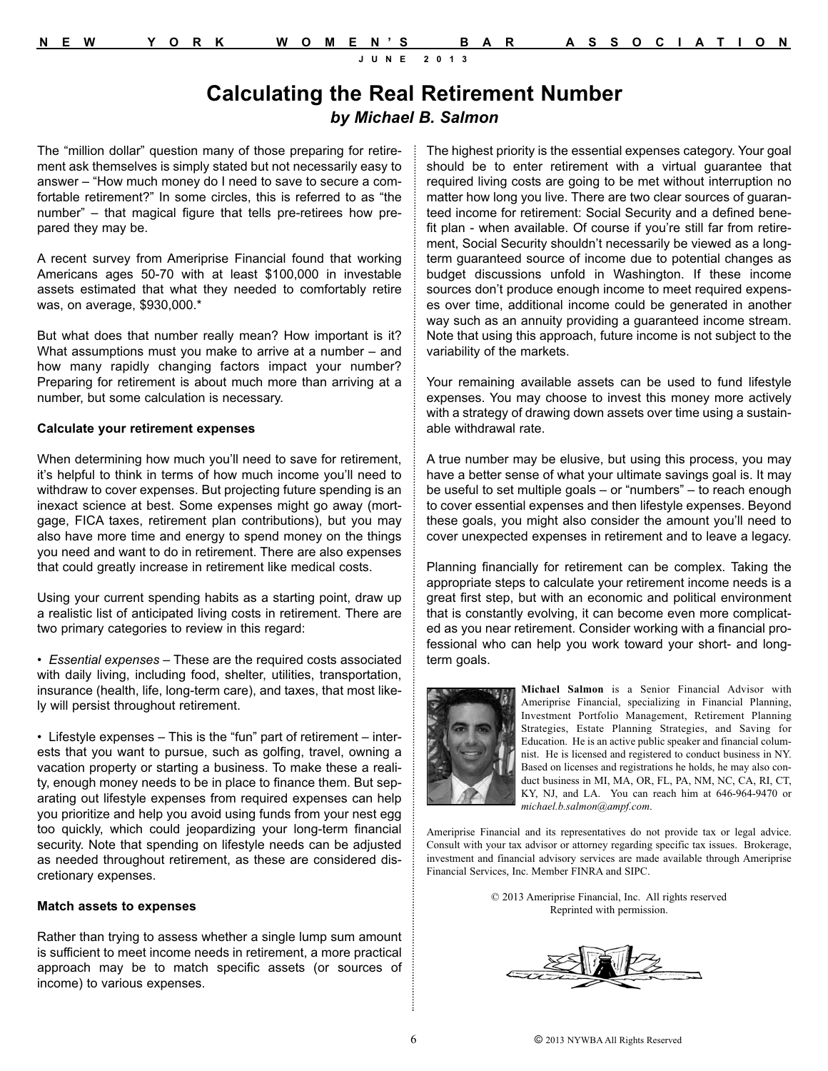### **Calculating the Real Retirement Number** *by Michael B. Salmon*

The "million dollar" question many of those preparing for retirement ask themselves is simply stated but not necessarily easy to answer – "How much money do I need to save to secure a comfortable retirement?" In some circles, this is referred to as "the number" – that magical figure that tells pre-retirees how prepared they may be.

A recent survey from Ameriprise Financial found that working Americans ages 50-70 with at least \$100,000 in investable assets estimated that what they needed to comfortably retire was, on average, \$930,000.\*

But what does that number really mean? How important is it? What assumptions must you make to arrive at a number – and how many rapidly changing factors impact your number? Preparing for retirement is about much more than arriving at a number, but some calculation is necessary.

### **Calculate your retirement expenses**

When determining how much you'll need to save for retirement, it's helpful to think in terms of how much income you'll need to withdraw to cover expenses. But projecting future spending is an inexact science at best. Some expenses might go away (mortgage, FICA taxes, retirement plan contributions), but you may also have more time and energy to spend money on the things you need and want to do in retirement. There are also expenses that could greatly increase in retirement like medical costs.

Using your current spending habits as a starting point, draw up a realistic list of anticipated living costs in retirement. There are two primary categories to review in this regard:

• *Essential expenses* – These are the required costs associated with daily living, including food, shelter, utilities, transportation, insurance (health, life, long-term care), and taxes, that most likely will persist throughout retirement.

• Lifestyle expenses – This is the "fun" part of retirement – interests that you want to pursue, such as golfing, travel, owning a vacation property or starting a business. To make these a reality, enough money needs to be in place to finance them. But separating out lifestyle expenses from required expenses can help you prioritize and help you avoid using funds from your nest egg too quickly, which could jeopardizing your long-term financial security. Note that spending on lifestyle needs can be adjusted as needed throughout retirement, as these are considered discretionary expenses.

### **Match assets to expenses**

Rather than trying to assess whether a single lump sum amount is sufficient to meet income needs in retirement, a more practical approach may be to match specific assets (or sources of income) to various expenses.

The highest priority is the essential expenses category. Your goal should be to enter retirement with a virtual guarantee that required living costs are going to be met without interruption no matter how long you live. There are two clear sources of guaranteed income for retirement: Social Security and a defined benefit plan - when available. Of course if you're still far from retirement, Social Security shouldn't necessarily be viewed as a longterm guaranteed source of income due to potential changes as budget discussions unfold in Washington. If these income sources don't produce enough income to meet required expenses over time, additional income could be generated in another way such as an annuity providing a guaranteed income stream. Note that using this approach, future income is not subject to the variability of the markets.

Your remaining available assets can be used to fund lifestyle expenses. You may choose to invest this money more actively with a strategy of drawing down assets over time using a sustainable withdrawal rate.

A true number may be elusive, but using this process, you may have a better sense of what your ultimate savings goal is. It may be useful to set multiple goals – or "numbers" – to reach enough to cover essential expenses and then lifestyle expenses. Beyond these goals, you might also consider the amount you'll need to cover unexpected expenses in retirement and to leave a legacy.

Planning financially for retirement can be complex. Taking the appropriate steps to calculate your retirement income needs is a great first step, but with an economic and political environment that is constantly evolving, it can become even more complicated as you near retirement. Consider working with a financial professional who can help you work toward your short- and longterm goals.



**Michael Salmon** is a Senior Financial Advisor with Ameriprise Financial, specializing in Financial Planning, Investment Portfolio Management, Retirement Planning Strategies, Estate Planning Strategies, and Saving for Education. He is an active public speaker and financial columnist. He is licensed and registered to conduct business in NY. Based on licenses and registrations he holds, he may also conduct business in MI, MA, OR, FL, PA, NM, NC, CA, RI, CT, KY, NJ, and LA. You can reach him at 646-964-9470 or *michael.b.salmon@ampf.com*.

Ameriprise Financial and its representatives do not provide tax or legal advice. Consult with your tax advisor or attorney regarding specific tax issues. Brokerage, investment and financial advisory services are made available through Ameriprise Financial Services, Inc. Member FINRA and SIPC.

> © 2013 Ameriprise Financial, Inc. All rights reserved Reprinted with permission.

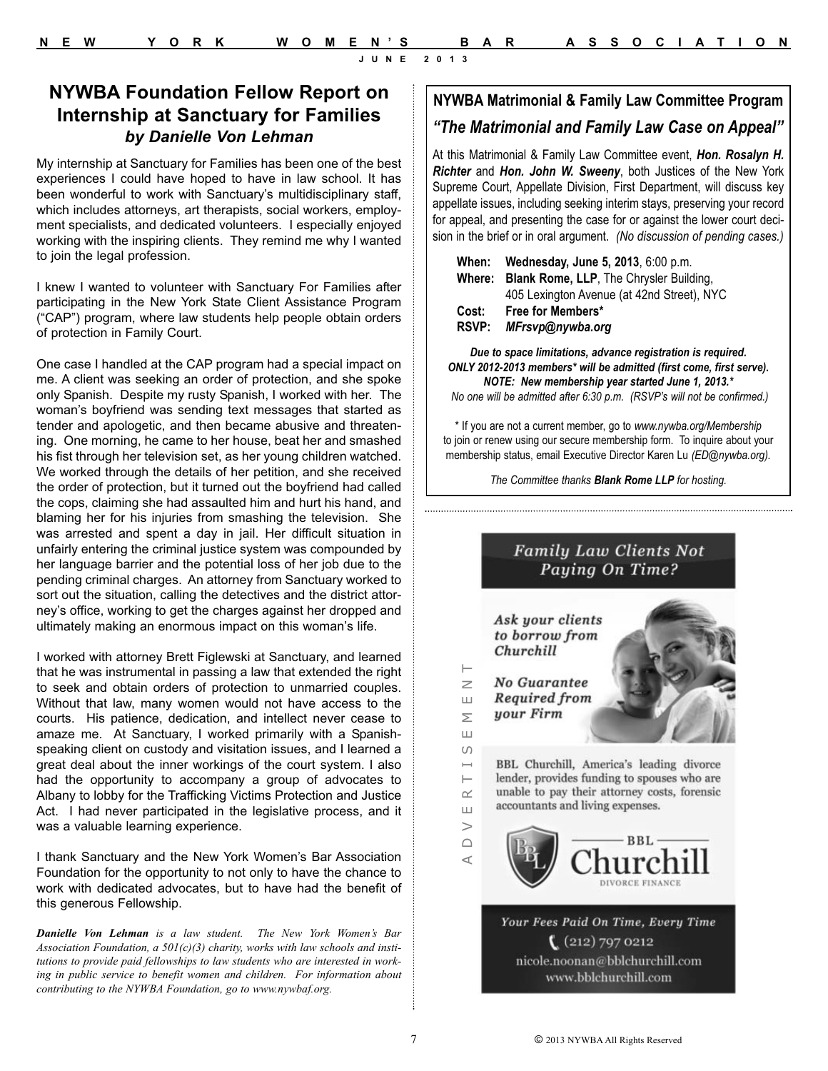### **NYWBA Foundation Fellow Report on Internship at Sanctuary for Families** *by Danielle Von Lehman*

My internship at Sanctuary for Families has been one of the best experiences I could have hoped to have in law school. It has been wonderful to work with Sanctuary's multidisciplinary staff, which includes attorneys, art therapists, social workers, employment specialists, and dedicated volunteers. I especially enjoyed working with the inspiring clients. They remind me why I wanted to join the legal profession.

I knew I wanted to volunteer with Sanctuary For Families after participating in the New York State Client Assistance Program ("CAP") program, where law students help people obtain orders of protection in Family Court.

One case I handled at the CAP program had a special impact on me. A client was seeking an order of protection, and she spoke only Spanish. Despite my rusty Spanish, I worked with her. The woman's boyfriend was sending text messages that started as tender and apologetic, and then became abusive and threatening. One morning, he came to her house, beat her and smashed his fist through her television set, as her young children watched. We worked through the details of her petition, and she received the order of protection, but it turned out the boyfriend had called the cops, claiming she had assaulted him and hurt his hand, and blaming her for his injuries from smashing the television. She was arrested and spent a day in jail. Her difficult situation in unfairly entering the criminal justice system was compounded by her language barrier and the potential loss of her job due to the pending criminal charges. An attorney from Sanctuary worked to sort out the situation, calling the detectives and the district attorney's office, working to get the charges against her dropped and ultimately making an enormous impact on this woman's life.

I worked with attorney Brett Figlewski at Sanctuary, and learned that he was instrumental in passing a law that extended the right to seek and obtain orders of protection to unmarried couples. Without that law, many women would not have access to the courts. His patience, dedication, and intellect never cease to amaze me. At Sanctuary, I worked primarily with a Spanishspeaking client on custody and visitation issues, and I learned a great deal about the inner workings of the court system. I also had the opportunity to accompany a group of advocates to Albany to lobby for the Trafficking Victims Protection and Justice Act. I had never participated in the legislative process, and it was a valuable learning experience.

I thank Sanctuary and the New York Women's Bar Association Foundation for the opportunity to not only to have the chance to work with dedicated advocates, but to have had the benefit of this generous Fellowship.

*Danielle Von Lehman is a law student. The New York Women's Bar Association Foundation, a 501(c)(3) charity, works with law schools and institutions to provide paid fellowships to law students who are interested in working in public service to benefit women and children. For information about contributing to the NYWBA Foundation, go to www.nywbaf.org.*

### **NYWBA Matrimonial & Family Law Committee Program** *"The Matrimonial and Family Law Case on Appeal"*

At this Matrimonial & Family Law Committee event, *Hon. Rosalyn H. Richter* and *Hon. John W. Sweeny*, both Justices of the New York Supreme Court, Appellate Division, First Department, will discuss key appellate issues, including seeking interim stays, preserving your record for appeal, and presenting the case for or against the lower court decision in the brief or in oral argument. *(No discussion of pending cases.)*

| When:        | Wednesday, June 5, 2013, 6:00 p.m.             |  |  |  |
|--------------|------------------------------------------------|--|--|--|
|              | Where: Blank Rome, LLP, The Chrysler Building, |  |  |  |
|              | 405 Lexington Avenue (at 42nd Street), NYC     |  |  |  |
| Cost:        | Free for Members*                              |  |  |  |
| <b>RSVP:</b> | MFrsvp@nywba.org                               |  |  |  |

*Due to space limitations, advance registration is required. ONLY 2012-2013 members\* will be admitted (first come, first serve). NOTE: New membership year started June 1, 2013.\**

*No one will be admitted after 6:30 p.m. (RSVP's will not be confirmed.)*

\* If you are not a current member, go to *www.nywba.org/Membership* to join or renew using our secure membership form. To inquire about your membership status, email Executive Director Karen Lu *(ED@nywba.org).*

*The Committee thanks Blank Rome LLP for hosting.*



 $(212)$  797 0212 nicole.noonan@bblchurchill.com www.bblchurchill.com

A D V E R T I S E M E N T

 $\vdash$ 

 $\sim$ 

 $\sqcup$  $\geq$  $\bigcap$  $\prec$ 

 $\geq$ 

Ш

Σ  $\sqcup$  $\cup$  $\mapsto$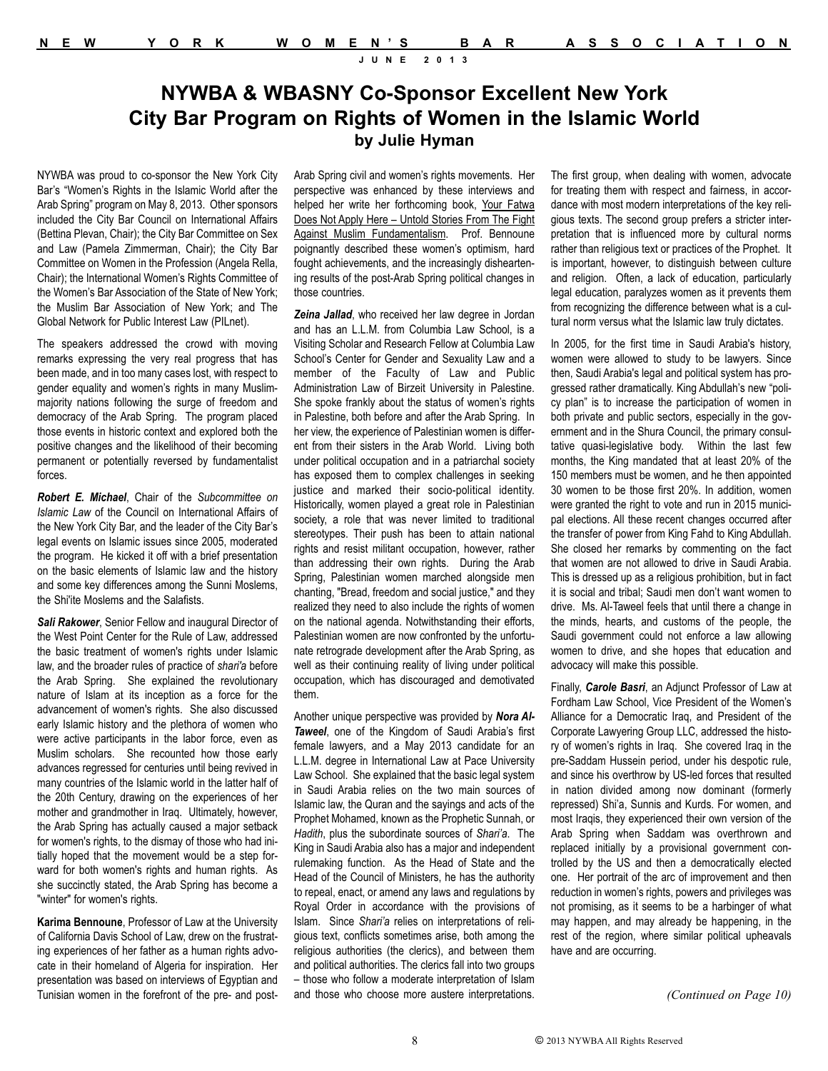### **NYWBA & WBASNY Co-Sponsor Excellent New York City Bar Program on Rights of Women in the Islamic World by Julie Hyman**

NYWBA was proud to co-sponsor the New York City Bar's "Women's Rights in the Islamic World after the Arab Spring" program on May 8, 2013. Other sponsors included the City Bar Council on International Affairs (Bettina Plevan, Chair); the City Bar Committee on Sex and Law (Pamela Zimmerman, Chair); the City Bar Committee on Women in the Profession (Angela Rella, Chair); the International Women's Rights Committee of the Women's Bar Association of the State of New York; the Muslim Bar Association of New York; and The Global Network for Public Interest Law (PILnet).

The speakers addressed the crowd with moving remarks expressing the very real progress that has been made, and in too many cases lost, with respect to gender equality and women's rights in many Muslimmajority nations following the surge of freedom and democracy of the Arab Spring. The program placed those events in historic context and explored both the positive changes and the likelihood of their becoming permanent or potentially reversed by fundamentalist forces.

*Robert E. Michael*, Chair of the *Subcommittee on Islamic Law* of the Council on International Affairs of the New York City Bar, and the leader of the City Bar's legal events on Islamic issues since 2005, moderated the program. He kicked it off with a brief presentation on the basic elements of Islamic law and the history and some key differences among the Sunni Moslems, the Shi'ite Moslems and the Salafists.

*Sali Rakower*, Senior Fellow and inaugural Director of the West Point Center for the Rule of Law, addressed the basic treatment of women's rights under Islamic law, and the broader rules of practice of *shari'a* before the Arab Spring. She explained the revolutionary nature of Islam at its inception as a force for the advancement of women's rights. She also discussed early Islamic history and the plethora of women who were active participants in the labor force, even as Muslim scholars. She recounted how those early advances regressed for centuries until being revived in many countries of the Islamic world in the latter half of the 20th Century, drawing on the experiences of her mother and grandmother in Iraq. Ultimately, however, the Arab Spring has actually caused a major setback for women's rights, to the dismay of those who had initially hoped that the movement would be a step forward for both women's rights and human rights. As she succinctly stated, the Arab Spring has become a "winter" for women's rights.

**Karima Bennoune**, Professor of Law at the University of California Davis School of Law, drew on the frustrating experiences of her father as a human rights advocate in their homeland of Algeria for inspiration. Her presentation was based on interviews of Egyptian and Tunisian women in the forefront of the pre- and postArab Spring civil and women's rights movements. Her perspective was enhanced by these interviews and helped her write her forthcoming book, Your Fatwa Does Not Apply Here – Untold Stories From The Fight Against Muslim Fundamentalism. Prof. Bennoune poignantly described these women's optimism, hard fought achievements, and the increasingly disheartening results of the post-Arab Spring political changes in those countries.

*Zeina Jallad*, who received her law degree in Jordan and has an L.L.M. from Columbia Law School, is a Visiting Scholar and Research Fellow at Columbia Law School's Center for Gender and Sexuality Law and a member of the Faculty of Law and Public Administration Law of Birzeit University in Palestine. She spoke frankly about the status of women's rights in Palestine, both before and after the Arab Spring. In her view, the experience of Palestinian women is different from their sisters in the Arab World. Living both under political occupation and in a patriarchal society has exposed them to complex challenges in seeking justice and marked their socio-political identity. Historically, women played a great role in Palestinian society, a role that was never limited to traditional stereotypes. Their push has been to attain national rights and resist militant occupation, however, rather than addressing their own rights. During the Arab Spring, Palestinian women marched alongside men chanting, "Bread, freedom and social justice," and they realized they need to also include the rights of women on the national agenda. Notwithstanding their efforts, Palestinian women are now confronted by the unfortunate retrograde development after the Arab Spring, as well as their continuing reality of living under political occupation, which has discouraged and demotivated them.

Another unique perspective was provided by *Nora Al-Taweel*, one of the Kingdom of Saudi Arabia's first female lawyers, and a May 2013 candidate for an L.L.M. degree in International Law at Pace University Law School. She explained that the basic legal system in Saudi Arabia relies on the two main sources of Islamic law, the Quran and the sayings and acts of the Prophet Mohamed, known as the Prophetic Sunnah, or *Hadith*, plus the subordinate sources of *Shari'a*. The King in Saudi Arabia also has a major and independent rulemaking function. As the Head of State and the Head of the Council of Ministers, he has the authority to repeal, enact, or amend any laws and regulations by Royal Order in accordance with the provisions of Islam. Since *Shari'a* relies on interpretations of religious text, conflicts sometimes arise, both among the religious authorities (the clerics), and between them and political authorities. The clerics fall into two groups – those who follow a moderate interpretation of Islam and those who choose more austere interpretations.

The first group, when dealing with women, advocate for treating them with respect and fairness, in accordance with most modern interpretations of the key religious texts. The second group prefers a stricter interpretation that is influenced more by cultural norms rather than religious text or practices of the Prophet. It is important, however, to distinguish between culture and religion. Often, a lack of education, particularly legal education, paralyzes women as it prevents them from recognizing the difference between what is a cultural norm versus what the Islamic law truly dictates.

In 2005, for the first time in Saudi Arabia's history, women were allowed to study to be lawyers. Since then, Saudi Arabia's legal and political system has progressed rather dramatically. King Abdullah's new "policy plan" is to increase the participation of women in both private and public sectors, especially in the government and in the Shura Council, the primary consultative quasi-legislative body. Within the last few months, the King mandated that at least 20% of the 150 members must be women, and he then appointed 30 women to be those first 20%. In addition, women were granted the right to vote and run in 2015 municipal elections. All these recent changes occurred after the transfer of power from King Fahd to King Abdullah. She closed her remarks by commenting on the fact that women are not allowed to drive in Saudi Arabia. This is dressed up as a religious prohibition, but in fact it is social and tribal; Saudi men don't want women to drive. Ms. Al-Taweel feels that until there a change in the minds, hearts, and customs of the people, the Saudi government could not enforce a law allowing women to drive, and she hopes that education and advocacy will make this possible.

Finally, *Carole Basri*, an Adjunct Professor of Law at Fordham Law School, Vice President of the Women's Alliance for a Democratic Iraq, and President of the Corporate Lawyering Group LLC, addressed the history of women's rights in Iraq. She covered Iraq in the pre-Saddam Hussein period, under his despotic rule, and since his overthrow by US-led forces that resulted in nation divided among now dominant (formerly repressed) Shi'a, Sunnis and Kurds. For women, and most Iraqis, they experienced their own version of the Arab Spring when Saddam was overthrown and replaced initially by a provisional government controlled by the US and then a democratically elected one. Her portrait of the arc of improvement and then reduction in women's rights, powers and privileges was not promising, as it seems to be a harbinger of what may happen, and may already be happening, in the rest of the region, where similar political upheavals have and are occurring.

*(Continued on Page 10)*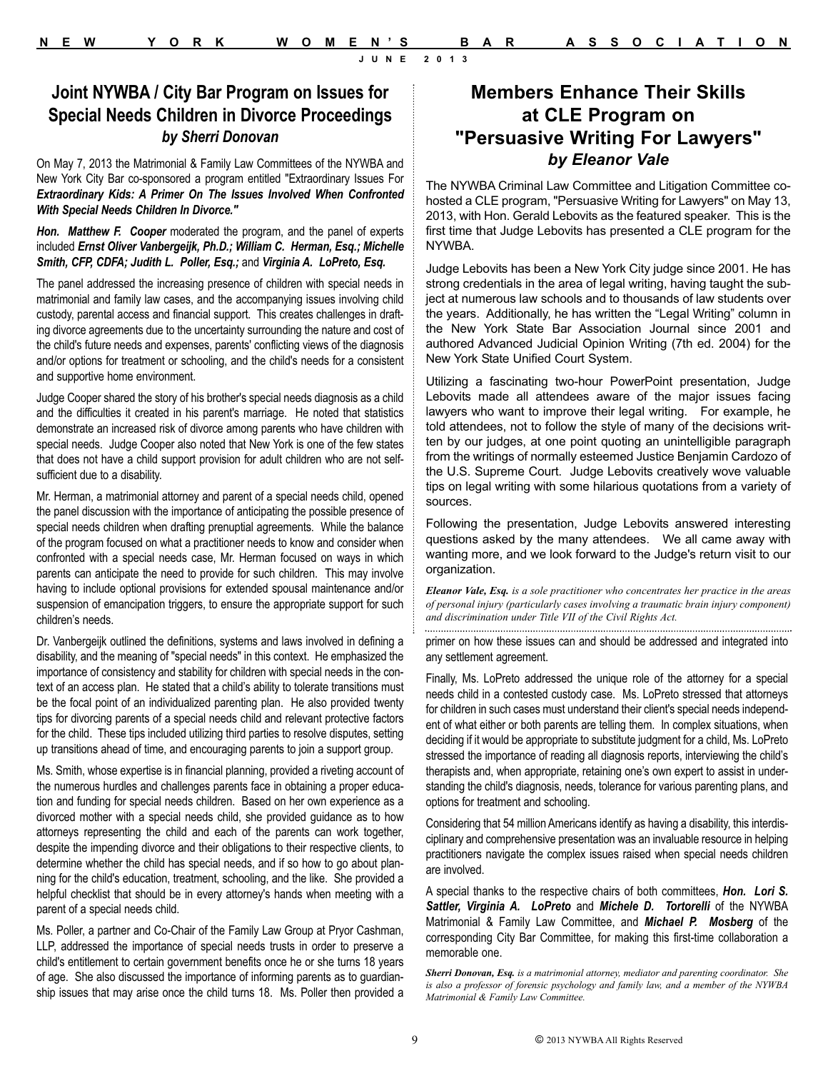### **Joint NYWBA / City Bar Program on Issues for Special Needs Children in Divorce Proceedings**  *by Sherri Donovan*

On May 7, 2013 the Matrimonial & Family Law Committees of the NYWBA and New York City Bar co-sponsored a program entitled "Extraordinary Issues For *Extraordinary Kids: A Primer On The Issues Involved When Confronted With Special Needs Children In Divorce."* 

*Hon. Matthew F. Cooper* moderated the program, and the panel of experts included *Ernst Oliver Vanbergeijk, Ph.D.; William C. Herman, Esq.; Michelle Smith, CFP, CDFA; Judith L. Poller, Esq.;* and *Virginia A. LoPreto, Esq.*

The panel addressed the increasing presence of children with special needs in matrimonial and family law cases, and the accompanying issues involving child custody, parental access and financial support. This creates challenges in drafting divorce agreements due to the uncertainty surrounding the nature and cost of the child's future needs and expenses, parents' conflicting views of the diagnosis and/or options for treatment or schooling, and the child's needs for a consistent and supportive home environment.

Judge Cooper shared the story of his brother's special needs diagnosis as a child and the difficulties it created in his parent's marriage. He noted that statistics demonstrate an increased risk of divorce among parents who have children with special needs. Judge Cooper also noted that New York is one of the few states that does not have a child support provision for adult children who are not selfsufficient due to a disability.

Mr. Herman, a matrimonial attorney and parent of a special needs child, opened the panel discussion with the importance of anticipating the possible presence of special needs children when drafting prenuptial agreements. While the balance of the program focused on what a practitioner needs to know and consider when confronted with a special needs case, Mr. Herman focused on ways in which parents can anticipate the need to provide for such children. This may involve having to include optional provisions for extended spousal maintenance and/or suspension of emancipation triggers, to ensure the appropriate support for such children's needs.

Dr. Vanbergeijk outlined the definitions, systems and laws involved in defining a disability, and the meaning of "special needs" in this context. He emphasized the importance of consistency and stability for children with special needs in the context of an access plan. He stated that a child's ability to tolerate transitions must be the focal point of an individualized parenting plan. He also provided twenty tips for divorcing parents of a special needs child and relevant protective factors for the child. These tips included utilizing third parties to resolve disputes, setting up transitions ahead of time, and encouraging parents to join a support group.

Ms. Smith, whose expertise is in financial planning, provided a riveting account of the numerous hurdles and challenges parents face in obtaining a proper education and funding for special needs children. Based on her own experience as a divorced mother with a special needs child, she provided guidance as to how attorneys representing the child and each of the parents can work together, despite the impending divorce and their obligations to their respective clients, to determine whether the child has special needs, and if so how to go about planning for the child's education, treatment, schooling, and the like. She provided a helpful checklist that should be in every attorney's hands when meeting with a parent of a special needs child.

Ms. Poller, a partner and Co-Chair of the Family Law Group at Pryor Cashman, LLP, addressed the importance of special needs trusts in order to preserve a child's entitlement to certain government benefits once he or she turns 18 years of age. She also discussed the importance of informing parents as to guardianship issues that may arise once the child turns 18. Ms. Poller then provided a

### **Members Enhance Their Skills at CLE Program on "Persuasive Writing For Lawyers"** *by Eleanor Vale*

The NYWBA Criminal Law Committee and Litigation Committee cohosted a CLE program, "Persuasive Writing for Lawyers" on May 13, 2013, with Hon. Gerald Lebovits as the featured speaker. This is the first time that Judge Lebovits has presented a CLE program for the NYWBA.

Judge Lebovits has been a New York City judge since 2001. He has strong credentials in the area of legal writing, having taught the subject at numerous law schools and to thousands of law students over the years. Additionally, he has written the "Legal Writing" column in the New York State Bar Association Journal since 2001 and authored Advanced Judicial Opinion Writing (7th ed. 2004) for the New York State Unified Court System.

Utilizing a fascinating two-hour PowerPoint presentation, Judge Lebovits made all attendees aware of the major issues facing lawyers who want to improve their legal writing. For example, he told attendees, not to follow the style of many of the decisions written by our judges, at one point quoting an unintelligible paragraph from the writings of normally esteemed Justice Benjamin Cardozo of the U.S. Supreme Court. Judge Lebovits creatively wove valuable tips on legal writing with some hilarious quotations from a variety of sources.

Following the presentation, Judge Lebovits answered interesting questions asked by the many attendees. We all came away with wanting more, and we look forward to the Judge's return visit to our organization.

*Eleanor Vale, Esq. is a sole practitioner who concentrates her practice in the areas of personal injury (particularly cases involving a traumatic brain injury component) and discrimination under Title VII of the Civil Rights Act.* 

primer on how these issues can and should be addressed and integrated into any settlement agreement.

Finally, Ms. LoPreto addressed the unique role of the attorney for a special needs child in a contested custody case. Ms. LoPreto stressed that attorneys for children in such cases must understand their client's special needs independent of what either or both parents are telling them. In complex situations, when deciding if it would be appropriate to substitute judgment for a child, Ms. LoPreto stressed the importance of reading all diagnosis reports, interviewing the child's therapists and, when appropriate, retaining one's own expert to assist in understanding the child's diagnosis, needs, tolerance for various parenting plans, and options for treatment and schooling.

Considering that 54 million Americans identify as having a disability, this interdisciplinary and comprehensive presentation was an invaluable resource in helping practitioners navigate the complex issues raised when special needs children are involved.

A special thanks to the respective chairs of both committees, *Hon. Lori S. Sattler, Virginia A. LoPreto* and *Michele D. Tortorelli* of the NYWBA Matrimonial & Family Law Committee, and *Michael P. Mosberg* of the corresponding City Bar Committee, for making this first-time collaboration a memorable one.

*Sherri Donovan, Esq. is a matrimonial attorney, mediator and parenting coordinator. She is also a professor of forensic psychology and family law, and a member of the NYWBA Matrimonial & Family Law Committee.*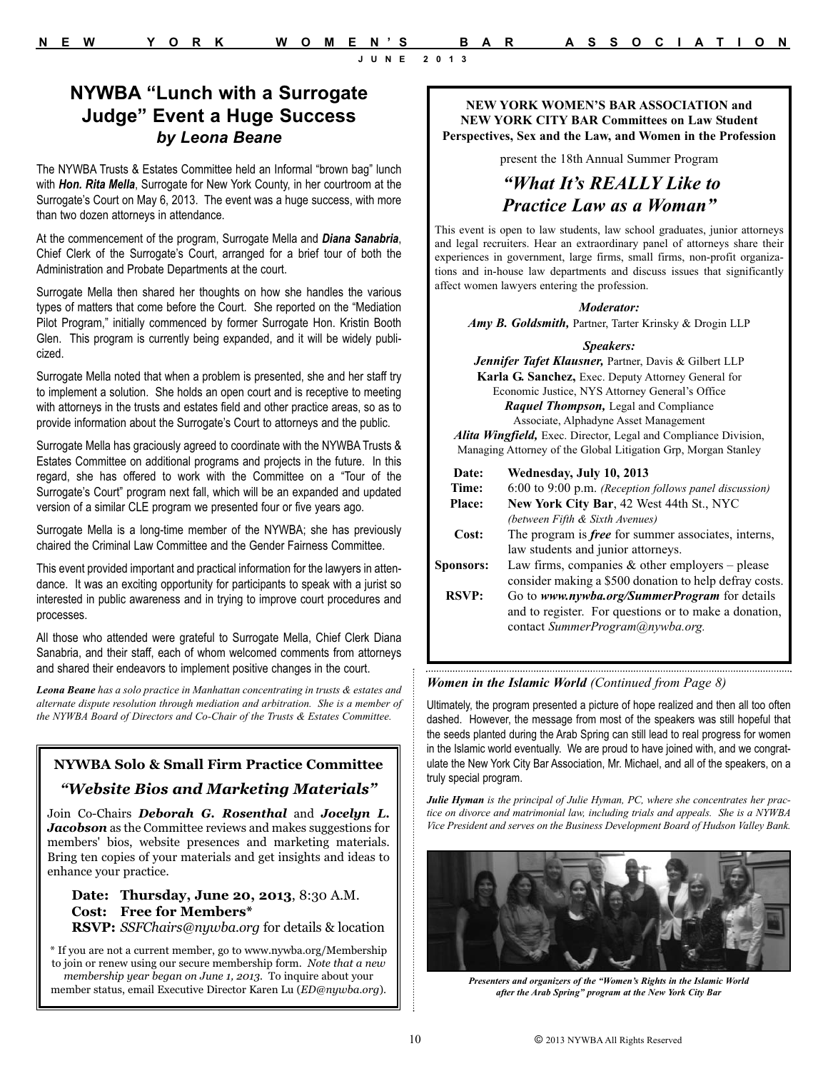### **NYWBA "Lunch with a Surrogate Judge" Event a Huge Success** *by Leona Beane*

The NYWBA Trusts & Estates Committee held an Informal "brown bag" lunch with *Hon. Rita Mella*, Surrogate for New York County, in her courtroom at the Surrogate's Court on May 6, 2013. The event was a huge success, with more than two dozen attorneys in attendance.

At the commencement of the program, Surrogate Mella and *Diana Sanabria*, Chief Clerk of the Surrogate's Court, arranged for a brief tour of both the Administration and Probate Departments at the court.

Surrogate Mella then shared her thoughts on how she handles the various types of matters that come before the Court. She reported on the "Mediation Pilot Program," initially commenced by former Surrogate Hon. Kristin Booth Glen. This program is currently being expanded, and it will be widely publicized.

Surrogate Mella noted that when a problem is presented, she and her staff try to implement a solution. She holds an open court and is receptive to meeting with attorneys in the trusts and estates field and other practice areas, so as to provide information about the Surrogate's Court to attorneys and the public.

Surrogate Mella has graciously agreed to coordinate with the NYWBA Trusts & Estates Committee on additional programs and projects in the future. In this regard, she has offered to work with the Committee on a "Tour of the Surrogate's Court" program next fall, which will be an expanded and updated version of a similar CLE program we presented four or five years ago.

Surrogate Mella is a long-time member of the NYWBA; she has previously chaired the Criminal Law Committee and the Gender Fairness Committee.

This event provided important and practical information for the lawyers in attendance. It was an exciting opportunity for participants to speak with a jurist so interested in public awareness and in trying to improve court procedures and processes.

All those who attended were grateful to Surrogate Mella, Chief Clerk Diana Sanabria, and their staff, each of whom welcomed comments from attorneys and shared their endeavors to implement positive changes in the court.

*Leona Beane has a solo practice in Manhattan concentrating in trusts & estates and alternate dispute resolution through mediation and arbitration. She is a member of the NYWBA Board of Directors and Co-Chair of the Trusts & Estates Committee.*

### **NYWBA Solo & Small Firm Practice Committee** *"Website Bios and Marketing Materials"*

Join Co-Chairs *Deborah G. Rosenthal* and *Jocelyn L. Jacobson* as the Committee reviews and makes suggestions for members' bios, website presences and marketing materials. Bring ten copies of your materials and get insights and ideas to enhance your practice.

**Date: Thursday, June 20, 2013**, 8:30 A.M. **Cost: Free for Members\* RSVP:** *SSFChairs@nywba.org* for details & location

\* If you are not a current member, go to www.nywba.org/Membership to join or renew using our secure membership form. *Note that a new membership year began on June 1, 2013.* To inquire about your member status, email Executive Director Karen Lu (*ED@nywba.org*).

**NEW YORK WOMEN'S BAR ASSOCIATION and NEW YORK CITY BAR Committees on Law Student Perspectives, Sex and the Law, and Women in the Profession**

present the 18th Annual Summer Program

### *"What It's REALLY Like to Practice Law as a Woman"*

This event is open to law students, law school graduates, junior attorneys and legal recruiters. Hear an extraordinary panel of attorneys share their experiences in government, large firms, small firms, non-profit organizations and in-house law departments and discuss issues that significantly affect women lawyers entering the profession.

### *Moderator:*

*Amy B. Goldsmith,* Partner, Tarter Krinsky & Drogin LLP

### *Speakers:*

*Jennifer Tafet Klausner,* Partner, Davis & Gilbert LLP **Karla G. Sanchez,** Exec. Deputy Attorney General for Economic Justice, NYS Attorney General's Office *Raquel Thompson,* Legal and Compliance Associate, Alphadyne Asset Management

*Alita Wingfield,* Exec. Director, Legal and Compliance Division, Managing Attorney of the Global Litigation Grp, Morgan Stanley

| Date:            | Wednesday, July 10, 2013                                   |
|------------------|------------------------------------------------------------|
| Time:            | 6:00 to 9:00 p.m. (Reception follows panel discussion)     |
| <b>Place:</b>    | New York City Bar, 42 West 44th St., NYC                   |
|                  | (between Fifth & Sixth Avenues)                            |
| Cost:            | The program is <i>free</i> for summer associates, interns, |
|                  | law students and junior attorneys.                         |
| <b>Sponsors:</b> | Law firms, companies $\&$ other employers – please         |
|                  | consider making a \$500 donation to help defray costs.     |
| <b>RSVP:</b>     | Go to www.nywba.org/SummerProgram for details              |
|                  | and to register. For questions or to make a donation,      |
|                  | contact SummerProgram@nywba.org.                           |
|                  |                                                            |

### *Women in the Islamic World (Continued from Page 8)*

Ultimately, the program presented a picture of hope realized and then all too often dashed. However, the message from most of the speakers was still hopeful that the seeds planted during the Arab Spring can still lead to real progress for women in the Islamic world eventually. We are proud to have joined with, and we congratulate the New York City Bar Association, Mr. Michael, and all of the speakers, on a truly special program.

*Julie Hyman is the principal of Julie Hyman, PC, where she concentrates her practice on divorce and matrimonial law, including trials and appeals. She is a NYWBA Vice President and serves on the Business Development Board of Hudson Valley Bank.* 



*Presenters and organizers of the "Women's Rights in the Islamic World after the Arab Spring" program at the New York City Bar*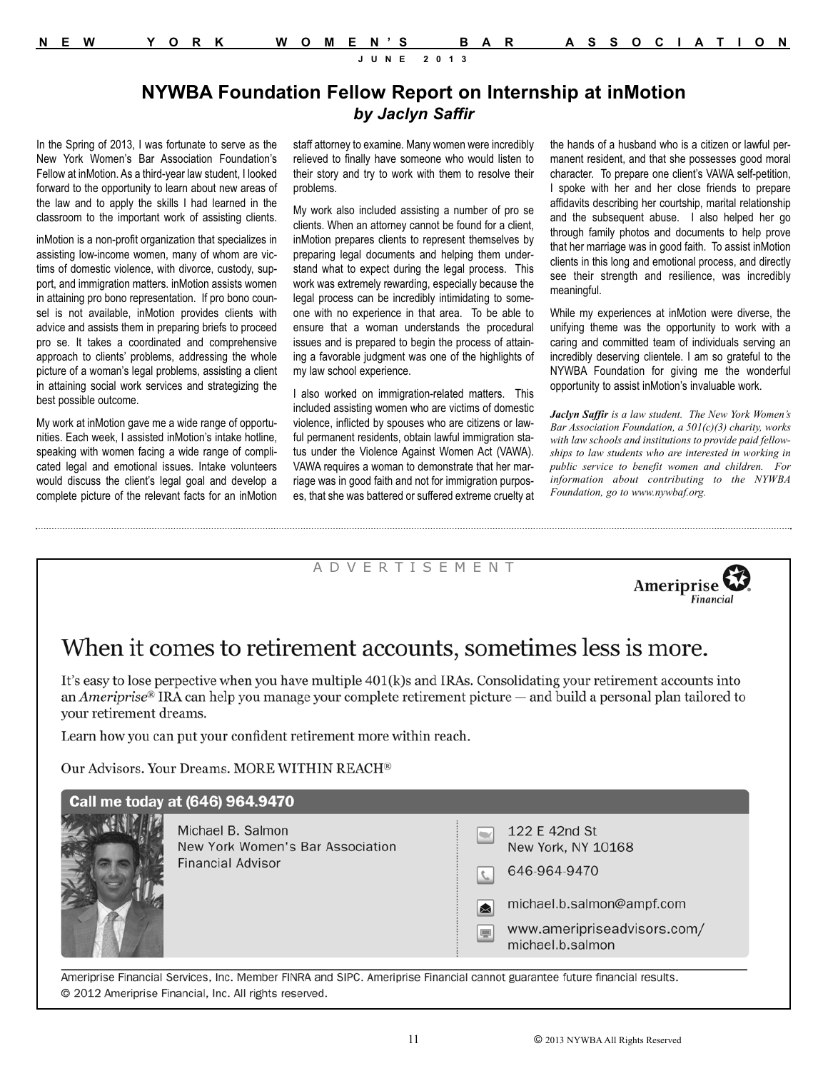| N E W |  | YORK WOMEN'S BAR ASSOCIATION |  |
|-------|--|------------------------------|--|
|       |  |                              |  |

### **NYWBA Foundation Fellow Report on Internship at inMotion** *by Jaclyn Saffir*

In the Spring of 2013, I was fortunate to serve as the New York Women's Bar Association Foundation's Fellow at inMotion. As a third-year law student, I looked forward to the opportunity to learn about new areas of the law and to apply the skills I had learned in the classroom to the important work of assisting clients.

inMotion is a non-profit organization that specializes in assisting low-income women, many of whom are victims of domestic violence, with divorce, custody, support, and immigration matters. inMotion assists women in attaining pro bono representation. If pro bono counsel is not available, inMotion provides clients with advice and assists them in preparing briefs to proceed pro se. It takes a coordinated and comprehensive approach to clients' problems, addressing the whole picture of a woman's legal problems, assisting a client in attaining social work services and strategizing the best possible outcome.

My work at inMotion gave me a wide range of opportunities. Each week, I assisted inMotion's intake hotline, speaking with women facing a wide range of complicated legal and emotional issues. Intake volunteers would discuss the client's legal goal and develop a complete picture of the relevant facts for an inMotion staff attorney to examine. Many women were incredibly relieved to finally have someone who would listen to their story and try to work with them to resolve their problems.

My work also included assisting a number of pro se clients. When an attorney cannot be found for a client, inMotion prepares clients to represent themselves by preparing legal documents and helping them understand what to expect during the legal process. This work was extremely rewarding, especially because the legal process can be incredibly intimidating to someone with no experience in that area. To be able to ensure that a woman understands the procedural issues and is prepared to begin the process of attaining a favorable judgment was one of the highlights of my law school experience.

I also worked on immigration-related matters. This included assisting women who are victims of domestic violence, inflicted by spouses who are citizens or lawful permanent residents, obtain lawful immigration status under the Violence Against Women Act (VAWA). VAWA requires a woman to demonstrate that her marriage was in good faith and not for immigration purposes, that she was battered or suffered extreme cruelty at

A D V E R T I S E M E N T

the hands of a husband who is a citizen or lawful permanent resident, and that she possesses good moral character. To prepare one client's VAWA self-petition, I spoke with her and her close friends to prepare affidavits describing her courtship, marital relationship and the subsequent abuse. I also helped her go through family photos and documents to help prove that her marriage was in good faith. To assist inMotion clients in this long and emotional process, and directly see their strength and resilience, was incredibly meaningful.

While my experiences at inMotion were diverse, the unifying theme was the opportunity to work with a caring and committed team of individuals serving an incredibly deserving clientele. I am so grateful to the NYWBA Foundation for giving me the wonderful opportunity to assist inMotion's invaluable work.

*Jaclyn Saffir is a law student. The New York Women's Bar Association Foundation, a 501(c)(3) charity, works with law schools and institutions to provide paid fellowships to law students who are interested in working in public service to benefit women and children. For information about contributing to the NYWBA Foundation, go to www.nywbaf.org.*

Ameriprise

Financial

# When it comes to retirement accounts, sometimes less is more.

It's easy to lose perpective when you have multiple 401(k)s and IRAs. Consolidating your retirement accounts into an Ameriprise<sup>®</sup> IRA can help you manage your complete retirement picture  $-$  and build a personal plan tailored to your retirement dreams.

Learn how you can put your confident retirement more within reach.

Our Advisors. Your Dreams. MORE WITHIN REACH®

| Call me today at (646) 964.9470                                                   |                                                                                                                                                                 |  |  |  |  |  |
|-----------------------------------------------------------------------------------|-----------------------------------------------------------------------------------------------------------------------------------------------------------------|--|--|--|--|--|
| Michael B. Salmon<br>New York Women's Bar Association<br><b>Financial Advisor</b> | 122 E 42nd St<br>New York, NY 10168<br>646-964-9470<br>L<br>michael.b.salmon@ampf.com<br>⊠<br>www.ameripriseadvisors.com/<br>$\blacksquare$<br>michael.b.salmon |  |  |  |  |  |

Ameriprise Financial Services, Inc. Member FINRA and SIPC. Ameriprise Financial cannot guarantee future financial results. © 2012 Ameriprise Financial, Inc. All rights reserved.